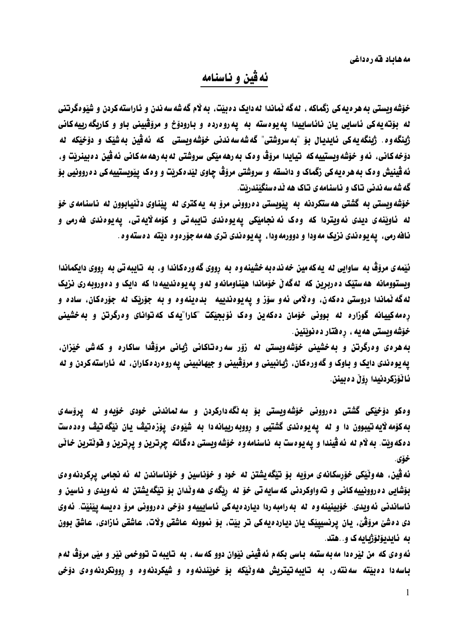مه هایاد قه رهداغی

## ئهقين و ناسنامه

خوّشه وبستی به هر دیه کی زگماکه ، له گه نّماندا له دایک د دبیّت، به لام گه شه سه ندن و ناراسته کردن و شیّو هگرتنی له بۆتەپەكى ئاسايى يان نائاساييدا پەيوەستە بە يەروەردە و بارودۆخ و مرۆڤبينى باو و كاربگەرييەكانى ژبنگه وه. ژبنگه یه کی ئایدیال بۆ "به سروشتی" گه شه سه ندنی خۆشه ویستی که ئه ڤین به شیک و دوخیکه له دۆخەكانى، ئەو خۆشەويستىيەكە تيايدا مرۆڤ وەك بەرھەمێكى سروشتى ئەبەرھەمەكانى ئەڤين دەبينريت و، ئه ڤينيش وهک به هره يه کي زگماک و دانسقه و سروشتي مروّڤ چاوي ليّده کريّت و وهک پيّويستييه کي ده روونيي بوّ گه شه سه ندنی تاک و ناسنامه ی تاک هه نده سنگیندریت.

خوّشه ويستي به گشتي هه ستکردنه به پيويستي ده رووني مروّ به په کتري له پيناوي دٽنيابوون له ناسنامه ي خوّ له ئاوٽنه ي ديدي ئه ويتردا که وه ک ئه نحاميکي په يوه ندي تايبه تي و کوّمه لايه تي، په يوه ندي فه رمي نافه رمي، په يوه ندي نزيک مه ودا و دوورمه ودا ، په يوه ندي نري هه مه جوّره و د ديته د دسته و ه .

ئيّمه ي مروّڤ به ساوايي له يه كه مين خه ند ه به خشينه و ه به رووي گه ور ه كاندا و . به تايبه تي به رووي دايكماندا ویستوومانه هه ستیک ده ربرین که لهگه لٌ خوّماندا هیّناومانه و له و په یوه ندییه دا که دایک و ده وروبه ری نزیک لهگه نماندا دروستي دهکهن، وه لامي نه و سوّز و په پوهندييه هېده پنه وه و به جوّربک له جوّرهکان، ساده و ره مه کیپانه گوزاره له بوونی خوّمان دمکهین ومک ئوّبجیّکت "کارا"یه ک که توانای ومرگرتن و به خشینی خۆشه ويستي هه په ، ره فتار د ه نوينين.

به هرهی وهرگرتن و به خشینی خوّشهویستی له زوّر سهرهتاکانی ژبانی مروّڤدا ساکاره و کهشی خیّزان، يه يوه ندی دايک و باوک و گه ور هکان، ژبانبيني و مرۆڤبيني و جيهانبيني يه رو ه رد هکاران، له ناراسته کردن و له ئاٽۆزكردنيدا رۆڵ دەبينن.

وه کو دوْخِیْکی گشتی ده روونی خوْشُه ویستی بوّ به لْگهدارکردن و سه لماندنی خودی خوّیه و له پروّسه ی به کوّمه لایه تیبوون دا و له یه یوه ندی گشتیی و رووبه ریبانه دا به شیّوهی یوّزه تیڤ یان نیّگه تیڤ وهدهست ده که ویّت. به لام له نه ڤیندا و یه یوهست به ناسنامه وه خوّشه ویستی دهگانته چرترین و پرترین و فونّترین خانّی خۆي.

ئه ڤين، هه وٽيّکي خوّرسکانهي مروّيه بوّ تيگهيشتن له خود و خوّناسين و خوّناساندن له ئه نجامي پرکردنه و هي بۆشايى دەروونييەكانى و تەواوكردنى كەسايەتى خۆ لە رېگەي ھەوٽدان بۆ تېگەيشتن لە ئەويدى و ناسين و ناساندني ئه ويدي. خوّبينينه وه له به رامبه ردا ديارده يه كي ئاسايييه و دوّخي ده رووني مروّ دهيسه پيّنيّت. ئه وي دي دمشيّ مروّقيّ، پاڻ پرنسپييٽِک پاڻ دياردميه کي تر بيّت، بوّ نموونه عاشقي ولات، عاشقي ئازادي، عاشق بوون ىه ئابدىۆلۆژبايەك و. .ھتد.

ئه ودي كه من ليّرهدا مه به ستمه باسي بكه م ئه ڤيني نيّوان دوو كه سه . به تايبه ت تووخمي نيّر و ميّي مروّڤ له م باسه دا ده بيته سه نته ر، به تايبه تيتريش هه ونيكه بوّ خويندنه وه و شيكردنه وه و روونكردنه وه دوْخى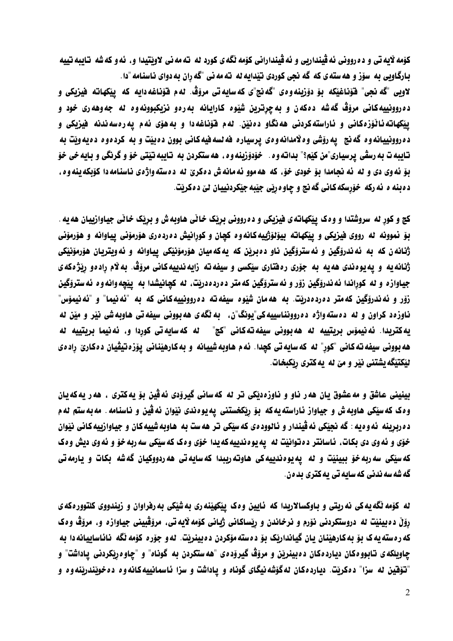كۆمە لايەتى و دەروونى ئەڤينداربى و ئەڤيندارانى كۆمە ئگەي كورد لە تەمەنى لاويتيدا و. ئەو كەشە تايبەتييە بارگاویی به سوّز و هه سته ی که گه نجی کوردی نیّدایه له ته مه نی "گه ران به دوای ناسنامه "دا.

لاويي "گه نجي" فَوَناغيْكه بوّ دوّزينه<code>ووي</code> "گه نج"ي كه سايه تي مروّڤ. له م فوّناغه دايه كه پيْكهاته فيزيكي و ده روونييه کاني مروّڤ گه شه دهکهن و به چرترين شَيْوه کارايانه به رهو نزيکبوونه وه له جه وهه ري خود و ییکهانه ئاٽۆزەكانی و ئاراسته كردنی هه نگاو دەنین. لهم فوّناغه دا و به هوّی ئهم یه رەسه ندنه فیزیکی و ده روونييانه وه گه نج پيه روّشي وه لامدانه وهي پرسياره فه نسه فيه كاني بوون ده بيّت و به كرده وه ده يه ويّت به تايبه ت به رسڤي پرسياري"من كێم؟" بداته وه . خوّدوّزينه وه ، هه ستكردن به تايبه تيّتي خوّ و گرنگي و بايه خي خوّ بِوْ ئه وي دي و له ئه نجامدا بِوْ خودي خوْ، كه هه موو ئه مانه ش د مكريّ له ده سته واژهي ناسنامه دا كۆبكه ينه وه، د دبنه ه نه رکه خوّرسکه کاني گه نج و چاوه ربّي جيّبه جيّکردنييان ليّ د ه کريّت.

کچ و کور له سروشتدا و وهک پیکهاته ی فیزیکی و ده روونی بریک خانی هاوبه ش و بریک خانی جیاوازییان هه یه . بِوْ نُموونه له رووي فيزيكي و ييْكهاته بِيوْلوْژييه كانه وه كچان و كورانيش ده رده ري هوْرموني يياوانه و هوْرموني ژنانه ن که به نه ندروگين و نه ستروگين ناو ده برين که يه که ميان هورمونيکي پياوانه و نه ويتريان هورمونيکي ژنانه یه و یه یوهندی هه یه به جوّری رهفتاری سیّکسی و سیفه ته زایه ندییه کانی مروّڤ. به لام رادهو ریّژه که ی جياوازه و له كوراندا ئه ندروْگين زوّر و ئه ستروّگين كه متر ده رده دريّت، له كچانيشدا به ييّچه وانه وه ئه ستروّگين زوّر و ئه ندروّگين كه متر دەردەدريت. به هه مان شيّوه سيفه ته دەروونييه كاني كه به "ئه نيما" و "ئه نيموّس" ناوزهد کراون و له دهسته واژه ده روونناسییه کی"یونگ"ن، به نگه ی هه بوونی سیفه تی هاوبه شی نیر و میّن له يه كتريدا. ئه نيموّس بربتييه له هه بووني سيفه ته كاني "كج" له كه سايه تي كوردا و، ئه نيما بربتييه له هه بوونی سیفه ته کانی "کور" له که سایه تی کچدا. ئه م هاوبه شییانه و به کارهیّنانی یوّزه تیڤیان دهکاریّ رادهی ليْكتيْگه يشتني نيْر و ميْ له ٍ يه كتري ربْكبخات.

بينيني عاشق و مه عشوق يان هه ر ناو و ناوزهديکي تر له که ساني گيرودي ئه ڤين بو يهکتري ، هه ر يهکه يان وهک که سیّکی هاوبه ش و جیاواز ئاراسته یه که بوّ ریّکخستنی یه یوهندی نیّوان ئه ڤین و ناسنامه . مه به ستم نه م ده ربرینه گه و هیه : گه نجیکی ئه قیندار و ئالوود هی که سیکی تر هه ست به هاوبه شییه کان و جیاوازییه کانی نیوان خوّی و نُه وی دی بکات، ناسانتر د دتوانیّت له یه یوهندییه که یدا خوّی وهک که سیّکی سه ربه خوّ و نُه وی دیش وهک كه سيّكي سه ربه خوّ ببينيّت و له يه يوه ندييه كي هاوته رببدا كه سايه تي هه ردووكيان گه شه بكات و پارمه تي گه شه سه ندنی که سایه تی یه کتری بد هن.

له کوّمه نگه یه کی نه ریتی و باوکسالاریدا که نایین ومک ییکهینه ری به شیکی به رفراوان و زیندووی کلتوورمکه ی رۆلْ دەبينيّت له دروستكردنى نۆرم و نرخاندن و ريساكانى ژيانى كۆمە لايەتى، مرۆڤبينى جياوازە و، مرۆڤ وەك که رهسته په ک بو به کارهینان پان گیاندارتک بو دهسته موکردن ده بینریت. نه و جوره کومه نگه نائاساییانه دا به چاويلکه ي تابوو مکان ديارد مکان د مينرٽن و مروّڤ گيروده ي "هه ستکردن به گوناه" و "چاو مرٽکردني پاداشت" و "تۆقين له سزا" دەكرنت. دياردەكان لەگۆشەنيگاي گوناه و ياداشت و سزا ئاسمانييەكانەوە دەخونندرننەوە و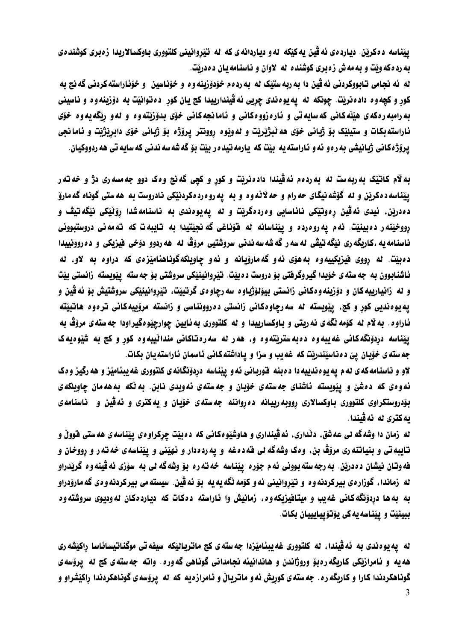ييّناسه دهکريّن. دياردهي ئه ڤين په کيّکه له و دياردانهي که له تيّروانيني کلتووري باوکسالاريدا زه بري کوشندهي به رد دکه ویت و به مه ش زه بری کوشنده له لاوان و ناسنامه یان د ددریت.

له ئه نجامي تابووکردني ئه ڤين دا به ربه ستێک له به ردهم خوّدوّزبنه وه و خوّناسين و خوّناراسته کردني گه نج به کور و کچه وه داد ه نريت. چونکه له يه يوه ندي چريي ئه ڤيندارييدا کچ يان کور ده توانيت به دوّزينه وه و ناسيني به رامبه رهکه ی هیّنّه کانی که سایه تی و ناره زووهکانی و ناما نجه کانی خوّی بدوّزیّته وه و له و ربّگه یه وه خوّی ئاراسته بکات و ستيلێک بۆ ژياني خۆي هه ٽبژێرێت و له وێوه روونتر پرۆژه بۆ ژياني خۆي دابرێژێت و ئامانجي يرۆژەكانى ژبانيشى بەرەو ئەو ئاراستەيە بيت كە يارمەتيدەر بيت بۆگەشەسەندنى كەسايەتى ھەردووكيان.

به لام کاتیک به ربه ست نه به ردهم نه ڤیندا دادهنریت و کور و کچی گهنج وهک دوو جه مسه ری دژ و خه ته ر پیناسه ده کریز و له گۆشه نیگای حه رام و حه لانه وه و به په روه رده کردنیکی نادروست به هه ستی گوناه گه مارو دەدرێن، ئیدی ئەڤین رەوتێکی نائاسایی وەردەگرێت و لە یەيوەندی بە ناسنامەشدا رۆٽێکی نێگەتیڤ و رووخيّنه ر ده بينيّت. ئه م يه روه رده و پيناسانه له فوّناغي كه نجيّتيدا به تايبه ت كه ته مه ني دروستبووني ناسنامه يه ،کاريگه ري نێگه تيڤي له سه ر گه شه سه ندني سروشتيي مروّڤ له هه ردوو دوّخي فيزيکي و ده روونييدا دهبيّت. له رووي فيزيکييهوه به هوّي نهو گهماروّيانه و نهو چاويلکهگوناهناميّزهي که دراوه به لاو، له ئاشنابوون به جه سته ی خوّیدا گیروگرفتی بوّ دروست د هییّت. تیّروانینیّکی سروشتی بوّ جه سته ییّویسته زانستی بیّت و له زانيارييه كان و دۆزبنه<code>و</code>دكاني زانستي بيۆلۆژياود سه رچاودي گرتبيت، تيروانينيكي سروشتيش بو ئه ڤين و يه يوه نديي کور و کچ، پيّويسته له سه رچاوهکاني زانستي ده روونناسي و زانسته مروّييه کاني تره وه هاتبيّته ئاراوه. به لام له کوّمه نگه ی نه ریتی و باوکسارییدا و له کلتووری به ئایین چوارچیّوهگیراودا جه سته ی مروّڤ به ییناسه دردونگهکانی غهیبهوه دهبهستریتهوه و، ههر له سهرهتاکانی مندانییهوه کور و کچ به شیوهیهک جه سته ی خوّیان ییّ دهناسیّندریّت که غه یب و سزا و یاداشته کانی ناسمان ناراسته یان بکات.

لاو و ناسنامه که ی له م یه یوه ندییه دا ده بنه قوربانی ئه و پیّناسه دردوّنگانه ی کلتووری غه پبئامیّز و هه رگیز وهک ئه ودی که دهشی و پیویسته ئاشنای جه سته ی خوّبان و جه سته ی ئه ویدی نابن. به نکه به هه مان چاویلکه ی بۆدروستکراوی کلتووری باوکسالاری رووبه ریبانه ده رواننه جهستهی خوّیان و یهکتری و نه ڤین و ناسنامهی يەكترى ئە ئەڤىندا.

له زمان دا وشه گه لی عه شق، دٽداری، ئه ڤينداری و هاوشێوهکانی که دهبيّت چرِکراوهی پيّناسهی هه ستی قووڵ و تایبه تی و بنیانته ری مروّڤ بن. وهک وشه گه لی قه دمغه و یه ردهدار و نهیّنی و پیّناسه ی خه ته ر و رووخان و فه وتان نيشان د ددرين. به رجه سته بووني ئه م جوّره ييّناسه خه ته ره بوّ وشه گه لي به سوّري ئه ڤينه و ه گريدراو له زماندا، گوزارهى بيركردنه<code>وو</code> و تيّزوانيني ئه و كۆمه نگه يه يه بۆ ئه ڤين. سيسته مى بيركردنه و دى گه مارۆدراو به به ها دردوّنگهکانی غه یب و میتافیزیکه وه، زمانیش وا ئاراسته دهکات که دیاردهکان نه ودیوی سروشته وه ببينيّت و پيناسه په کي پۆتۆپپايييان بکات.

له \_يه يوه ندي به \_ئه ڤيندا، له كلتووري غه ييئاميّزدا جه سته ي كج ماترياليّكه \_سيفه تي موگناتيسائاسا راكيّشه ري هه به و نامرازتکی کاربگه ره بو وروژاندن و هاندانیئه نجامدانی گوناهی گه وره. واته جه سته ی کچ له پروّسه ی گوناهکردندا کارا و کاریگه ره . جه سته ی کوریش ئه و ماتریاێ و ئامرازه یه که له پروّسه ی گوناهکردندا راکیشراو و